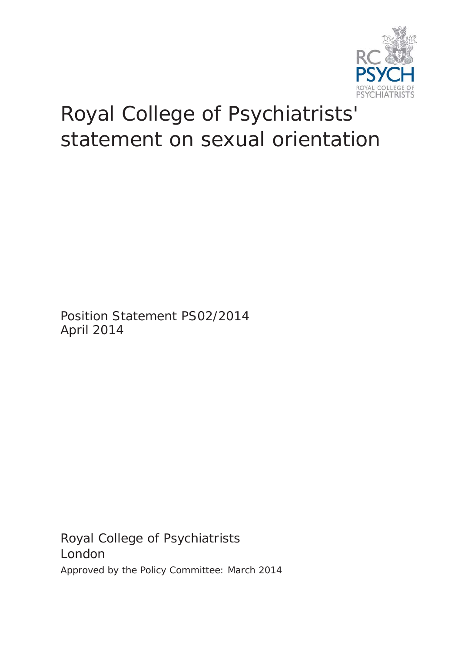

## Royal College of Psychiatrists' statement on sexual orientation

Position Statement PS02/2014 April 2014

Royal College of Psychiatrists London Approved by the Policy Committee: March 2014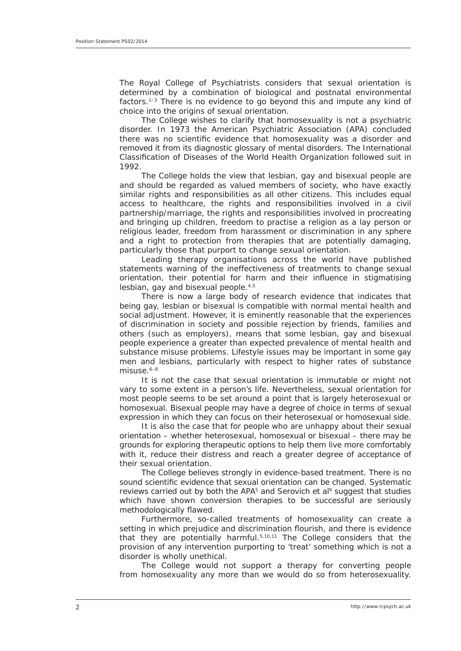The Royal College of Psychiatrists considers that sexual orientation is determined by a combination of biological and postnatal environmental factors.<sup>1-3</sup> There is no evidence to go beyond this and impute any kind of choice into the origins of sexual orientation.

The College wishes to clarify that homosexuality is not a psychiatric disorder. In 1973 the American Psychiatric Association (APA) concluded there was no scientific evidence that homosexuality was a disorder and removed it from its diagnostic glossary of mental disorders. The International Classification of Diseases of the World Health Organization followed suit in 1992.

The College holds the view that lesbian, gay and bisexual people are and should be regarded as valued members of society, who have exactly similar rights and responsibilities as all other citizens. This includes equal access to healthcare, the rights and responsibilities involved in a civil partnership/marriage, the rights and responsibilities involved in procreating and bringing up children, freedom to practise a religion as a lay person or religious leader, freedom from harassment or discrimination in any sphere and a right to protection from therapies that are potentially damaging, particularly those that purport to change sexual orientation.

Leading therapy organisations across the world have published statements warning of the ineffectiveness of treatments to change sexual orientation, their potential for harm and their influence in stigmatising lesbian, gay and bisexual people.4,5

There is now a large body of research evidence that indicates that being gay, lesbian or bisexual is compatible with normal mental health and social adjustment. However, it is eminently reasonable that the experiences of discrimination in society and possible rejection by friends, families and others (such as employers), means that some lesbian, gay and bisexual people experience a greater than expected prevalence of mental health and substance misuse problems. Lifestyle issues may be important in some gay men and lesbians, particularly with respect to higher rates of substance  $m$ isuse. $6-8$ 

It is not the case that sexual orientation is immutable or might not vary to some extent in a person's life. Nevertheless, sexual orientation for most people seems to be set around a point that is largely heterosexual or homosexual. Bisexual people may have a degree of choice in terms of sexual expression in which they can focus on their heterosexual or homosexual side.

It is also the case that for people who are unhappy about their sexual orientation – whether heterosexual, homosexual or bisexual – there may be grounds for exploring therapeutic options to help them live more comfortably with it, reduce their distress and reach a greater degree of acceptance of their sexual orientation.

The College believes strongly in evidence-based treatment. There is no sound scientific evidence that sexual orientation can be changed. Systematic reviews carried out by both the APA5 and Serovich *et al*9 suggest that studies which have shown conversion therapies to be successful are seriously methodologically flawed.

Furthermore, so-called treatments of homosexuality can create a setting in which prejudice and discrimination flourish, and there is evidence that they are potentially harmful.5,10,11 The College considers that the provision of any intervention purporting to 'treat' something which is not a disorder is wholly unethical.

The College would not support a therapy for converting people from homosexuality any more than we would do so from heterosexuality.